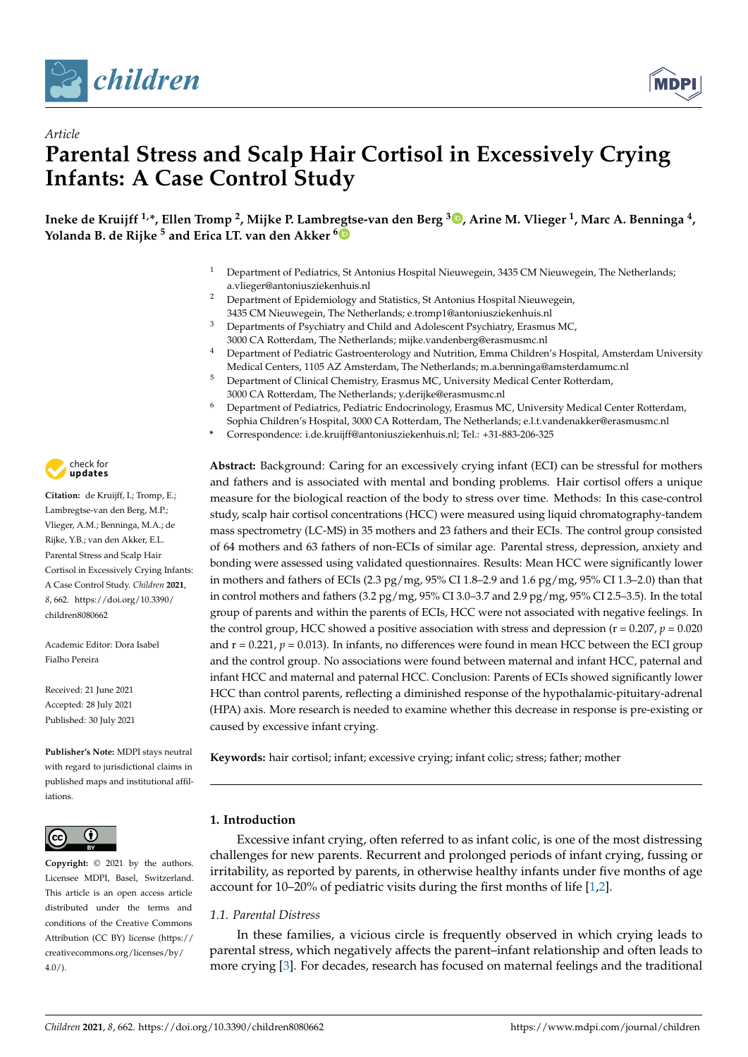

*Article*



# **Parental Stress and Scalp Hair Cortisol in Excessively Crying Infants: A Case Control Study**

**Ineke de Kruijff 1,\*, Ellen Tromp <sup>2</sup> , Mijke P. Lambr[egt](https://orcid.org/0000-0001-5352-9328)se-van den Berg <sup>3</sup> [,](https://orcid.org/0000-0003-1764-5940) Arine M. Vlieger <sup>1</sup> , Marc A. Benninga <sup>4</sup> , Yolanda B. de Rijke <sup>5</sup> and Erica LT. van den Akker <sup>6</sup>**

- <sup>1</sup> Department of Pediatrics, St Antonius Hospital Nieuwegein, 3435 CM Nieuwegein, The Netherlands; a.vlieger@antoniusziekenhuis.nl
- <sup>2</sup> Department of Epidemiology and Statistics, St Antonius Hospital Nieuwegein, 3435 CM Nieuwegein, The Netherlands; e.tromp1@antoniusziekenhuis.nl
- <sup>3</sup> Departments of Psychiatry and Child and Adolescent Psychiatry, Erasmus MC, 3000 CA Rotterdam, The Netherlands; mijke.vandenberg@erasmusmc.nl
- <sup>4</sup> Department of Pediatric Gastroenterology and Nutrition, Emma Children's Hospital, Amsterdam University Medical Centers, 1105 AZ Amsterdam, The Netherlands; m.a.benninga@amsterdamumc.nl
- <sup>5</sup> Department of Clinical Chemistry, Erasmus MC, University Medical Center Rotterdam, 3000 CA Rotterdam, The Netherlands; y.derijke@erasmusmc.nl
- <sup>6</sup> Department of Pediatrics, Pediatric Endocrinology, Erasmus MC, University Medical Center Rotterdam, Sophia Children's Hospital, 3000 CA Rotterdam, The Netherlands; e.l.t.vandenakker@erasmusmc.nl
- **\*** Correspondence: i.de.kruijff@antoniusziekenhuis.nl; Tel.: +31-883-206-325

**Abstract:** Background: Caring for an excessively crying infant (ECI) can be stressful for mothers and fathers and is associated with mental and bonding problems. Hair cortisol offers a unique measure for the biological reaction of the body to stress over time. Methods: In this case-control study, scalp hair cortisol concentrations (HCC) were measured using liquid chromatography-tandem mass spectrometry (LC-MS) in 35 mothers and 23 fathers and their ECIs. The control group consisted of 64 mothers and 63 fathers of non-ECIs of similar age. Parental stress, depression, anxiety and bonding were assessed using validated questionnaires. Results: Mean HCC were significantly lower in mothers and fathers of ECIs (2.3 pg/mg, 95% CI 1.8–2.9 and 1.6 pg/mg, 95% CI 1.3–2.0) than that in control mothers and fathers (3.2 pg/mg, 95% CI 3.0–3.7 and 2.9 pg/mg, 95% CI 2.5–3.5). In the total group of parents and within the parents of ECIs, HCC were not associated with negative feelings. In the control group, HCC showed a positive association with stress and depression ( $r = 0.207$ ,  $p = 0.020$ ) and  $r = 0.221$ ,  $p = 0.013$ ). In infants, no differences were found in mean HCC between the ECI group and the control group. No associations were found between maternal and infant HCC, paternal and infant HCC and maternal and paternal HCC. Conclusion: Parents of ECIs showed significantly lower HCC than control parents, reflecting a diminished response of the hypothalamic-pituitary-adrenal (HPA) axis. More research is needed to examine whether this decrease in response is pre-existing or caused by excessive infant crying.

**Keywords:** hair cortisol; infant; excessive crying; infant colic; stress; father; mother

# **1. Introduction**

Excessive infant crying, often referred to as infant colic, is one of the most distressing challenges for new parents. Recurrent and prolonged periods of infant crying, fussing or irritability, as reported by parents, in otherwise healthy infants under five months of age account for 10–20% of pediatric visits during the first months of life [\[1](#page-9-0)[,2\]](#page-9-1).

# *1.1. Parental Distress*

In these families, a vicious circle is frequently observed in which crying leads to parental stress, which negatively affects the parent–infant relationship and often leads to more crying [\[3\]](#page-9-2). For decades, research has focused on maternal feelings and the traditional



**Citation:** de Kruijff, I.; Tromp, E.; Lambregtse-van den Berg, M.P.; Vlieger, A.M.; Benninga, M.A.; de Rijke, Y.B.; van den Akker, E.L. Parental Stress and Scalp Hair Cortisol in Excessively Crying Infants: A Case Control Study. *Children* **2021**, *8*, 662. [https://doi.org/10.3390/](https://doi.org/10.3390/children8080662) [children8080662](https://doi.org/10.3390/children8080662)

Academic Editor: Dora Isabel Fialho Pereira

Received: 21 June 2021 Accepted: 28 July 2021 Published: 30 July 2021

**Publisher's Note:** MDPI stays neutral with regard to jurisdictional claims in published maps and institutional affiliations.



**Copyright:** © 2021 by the authors. Licensee MDPI, Basel, Switzerland. This article is an open access article distributed under the terms and conditions of the Creative Commons Attribution (CC BY) license (https:/[/](https://creativecommons.org/licenses/by/4.0/) [creativecommons.org/licenses/by/](https://creativecommons.org/licenses/by/4.0/)  $4.0/$ ).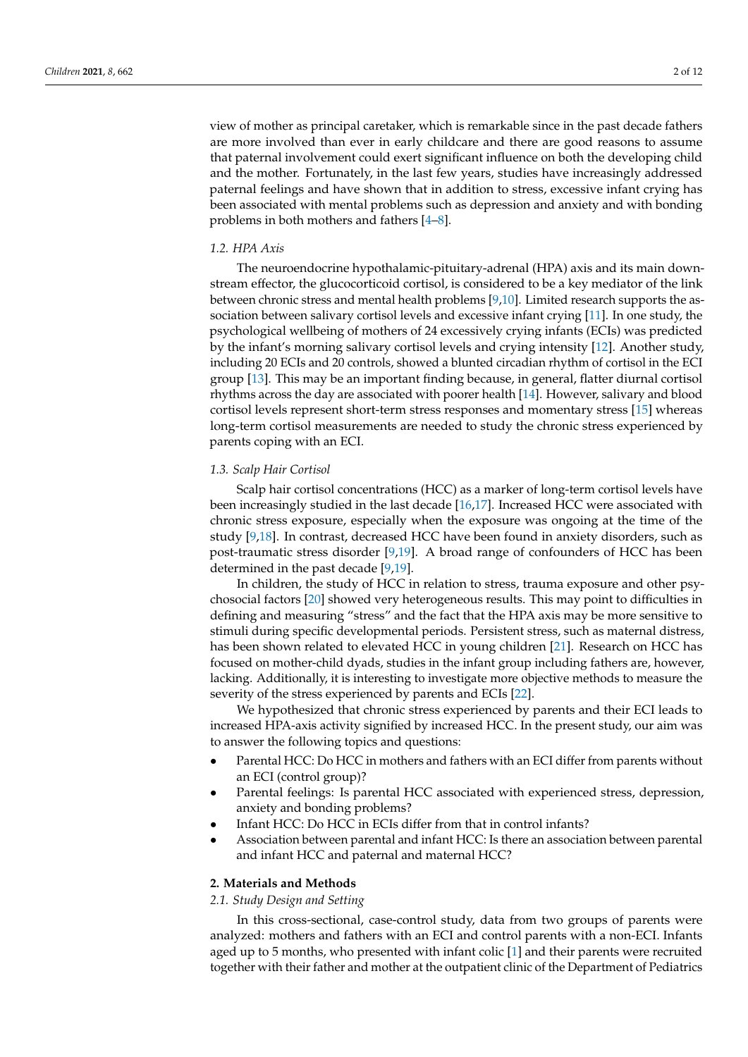view of mother as principal caretaker, which is remarkable since in the past decade fathers are more involved than ever in early childcare and there are good reasons to assume that paternal involvement could exert significant influence on both the developing child and the mother. Fortunately, in the last few years, studies have increasingly addressed paternal feelings and have shown that in addition to stress, excessive infant crying has been associated with mental problems such as depression and anxiety and with bonding problems in both mothers and fathers [\[4–](#page-9-3)[8\]](#page-10-0).

## *1.2. HPA Axis*

The neuroendocrine hypothalamic-pituitary-adrenal (HPA) axis and its main downstream effector, the glucocorticoid cortisol, is considered to be a key mediator of the link between chronic stress and mental health problems [\[9,](#page-10-1)[10\]](#page-10-2). Limited research supports the association between salivary cortisol levels and excessive infant crying [\[11\]](#page-10-3). In one study, the psychological wellbeing of mothers of 24 excessively crying infants (ECIs) was predicted by the infant's morning salivary cortisol levels and crying intensity [\[12\]](#page-10-4). Another study, including 20 ECIs and 20 controls, showed a blunted circadian rhythm of cortisol in the ECI group [\[13\]](#page-10-5). This may be an important finding because, in general, flatter diurnal cortisol rhythms across the day are associated with poorer health [\[14\]](#page-10-6). However, salivary and blood cortisol levels represent short-term stress responses and momentary stress [\[15\]](#page-10-7) whereas long-term cortisol measurements are needed to study the chronic stress experienced by parents coping with an ECI.

## *1.3. Scalp Hair Cortisol*

Scalp hair cortisol concentrations (HCC) as a marker of long-term cortisol levels have been increasingly studied in the last decade [\[16](#page-10-8)[,17\]](#page-10-9). Increased HCC were associated with chronic stress exposure, especially when the exposure was ongoing at the time of the study [\[9,](#page-10-1)[18\]](#page-10-10). In contrast, decreased HCC have been found in anxiety disorders, such as post-traumatic stress disorder [\[9](#page-10-1)[,19\]](#page-10-11). A broad range of confounders of HCC has been determined in the past decade [\[9](#page-10-1)[,19\]](#page-10-11).

In children, the study of HCC in relation to stress, trauma exposure and other psychosocial factors [\[20\]](#page-10-12) showed very heterogeneous results. This may point to difficulties in defining and measuring "stress" and the fact that the HPA axis may be more sensitive to stimuli during specific developmental periods. Persistent stress, such as maternal distress, has been shown related to elevated HCC in young children [\[21\]](#page-10-13). Research on HCC has focused on mother-child dyads, studies in the infant group including fathers are, however, lacking. Additionally, it is interesting to investigate more objective methods to measure the severity of the stress experienced by parents and ECIs [\[22\]](#page-10-14).

We hypothesized that chronic stress experienced by parents and their ECI leads to increased HPA-axis activity signified by increased HCC. In the present study, our aim was to answer the following topics and questions:

- Parental HCC: Do HCC in mothers and fathers with an ECI differ from parents without an ECI (control group)?
- Parental feelings: Is parental HCC associated with experienced stress, depression, anxiety and bonding problems?
- Infant HCC: Do HCC in ECIs differ from that in control infants?
- Association between parental and infant HCC: Is there an association between parental and infant HCC and paternal and maternal HCC?

## **2. Materials and Methods**

## *2.1. Study Design and Setting*

In this cross-sectional, case-control study, data from two groups of parents were analyzed: mothers and fathers with an ECI and control parents with a non-ECI. Infants aged up to 5 months, who presented with infant colic [\[1\]](#page-9-0) and their parents were recruited together with their father and mother at the outpatient clinic of the Department of Pediatrics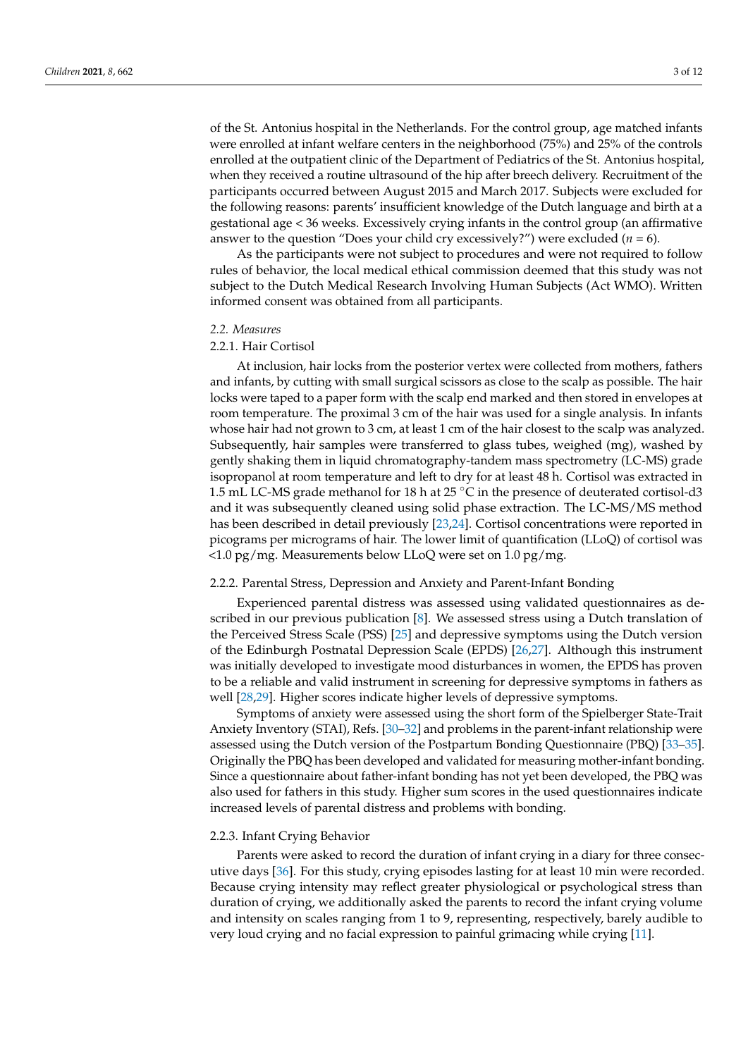of the St. Antonius hospital in the Netherlands. For the control group, age matched infants were enrolled at infant welfare centers in the neighborhood (75%) and 25% of the controls enrolled at the outpatient clinic of the Department of Pediatrics of the St. Antonius hospital, when they received a routine ultrasound of the hip after breech delivery. Recruitment of the participants occurred between August 2015 and March 2017. Subjects were excluded for the following reasons: parents' insufficient knowledge of the Dutch language and birth at a gestational age < 36 weeks. Excessively crying infants in the control group (an affirmative answer to the question "Does your child cry excessively?") were excluded  $(n = 6)$ .

As the participants were not subject to procedures and were not required to follow rules of behavior, the local medical ethical commission deemed that this study was not subject to the Dutch Medical Research Involving Human Subjects (Act WMO). Written informed consent was obtained from all participants.

#### *2.2. Measures*

#### 2.2.1. Hair Cortisol

At inclusion, hair locks from the posterior vertex were collected from mothers, fathers and infants, by cutting with small surgical scissors as close to the scalp as possible. The hair locks were taped to a paper form with the scalp end marked and then stored in envelopes at room temperature. The proximal 3 cm of the hair was used for a single analysis. In infants whose hair had not grown to 3 cm, at least 1 cm of the hair closest to the scalp was analyzed. Subsequently, hair samples were transferred to glass tubes, weighed (mg), washed by gently shaking them in liquid chromatography-tandem mass spectrometry (LC-MS) grade isopropanol at room temperature and left to dry for at least 48 h. Cortisol was extracted in 1.5 mL LC-MS grade methanol for 18 h at 25  $\degree$ C in the presence of deuterated cortisol-d3 and it was subsequently cleaned using solid phase extraction. The LC-MS/MS method has been described in detail previously [\[23](#page-10-15)[,24\]](#page-10-16). Cortisol concentrations were reported in picograms per micrograms of hair. The lower limit of quantification (LLoQ) of cortisol was <1.0 pg/mg. Measurements below LLoQ were set on 1.0 pg/mg.

#### 2.2.2. Parental Stress, Depression and Anxiety and Parent-Infant Bonding

Experienced parental distress was assessed using validated questionnaires as described in our previous publication [\[8\]](#page-10-0). We assessed stress using a Dutch translation of the Perceived Stress Scale (PSS) [\[25\]](#page-10-17) and depressive symptoms using the Dutch version of the Edinburgh Postnatal Depression Scale (EPDS) [\[26,](#page-10-18)[27\]](#page-10-19). Although this instrument was initially developed to investigate mood disturbances in women, the EPDS has proven to be a reliable and valid instrument in screening for depressive symptoms in fathers as well [\[28](#page-10-20)[,29\]](#page-10-21). Higher scores indicate higher levels of depressive symptoms.

Symptoms of anxiety were assessed using the short form of the Spielberger State-Trait Anxiety Inventory (STAI), Refs. [\[30](#page-10-22)[–32\]](#page-10-23) and problems in the parent-infant relationship were assessed using the Dutch version of the Postpartum Bonding Questionnaire (PBQ) [\[33](#page-10-24)[–35\]](#page-11-0). Originally the PBQ has been developed and validated for measuring mother-infant bonding. Since a questionnaire about father-infant bonding has not yet been developed, the PBQ was also used for fathers in this study. Higher sum scores in the used questionnaires indicate increased levels of parental distress and problems with bonding.

## 2.2.3. Infant Crying Behavior

Parents were asked to record the duration of infant crying in a diary for three consecutive days [\[36\]](#page-11-1). For this study, crying episodes lasting for at least 10 min were recorded. Because crying intensity may reflect greater physiological or psychological stress than duration of crying, we additionally asked the parents to record the infant crying volume and intensity on scales ranging from 1 to 9, representing, respectively, barely audible to very loud crying and no facial expression to painful grimacing while crying [\[11\]](#page-10-3).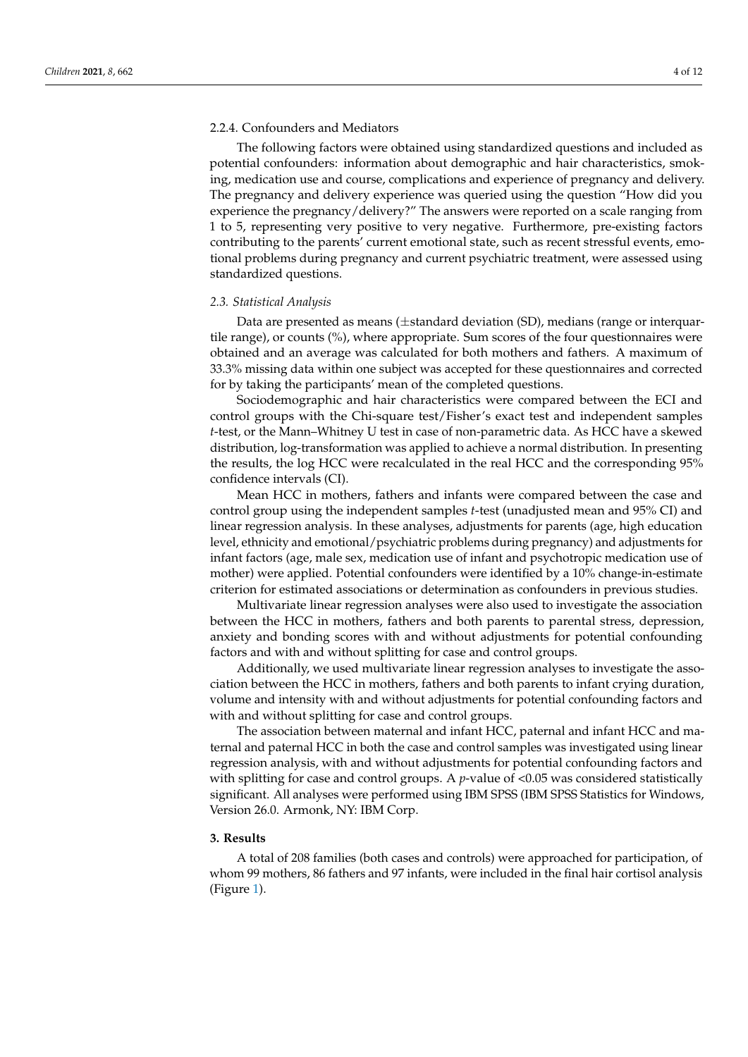## 2.2.4. Confounders and Mediators

The following factors were obtained using standardized questions and included as potential confounders: information about demographic and hair characteristics, smoking, medication use and course, complications and experience of pregnancy and delivery. The pregnancy and delivery experience was queried using the question "How did you experience the pregnancy/delivery?" The answers were reported on a scale ranging from 1 to 5, representing very positive to very negative. Furthermore, pre-existing factors contributing to the parents' current emotional state, such as recent stressful events, emotional problems during pregnancy and current psychiatric treatment, were assessed using standardized questions.

#### *2.3. Statistical Analysis*

Data are presented as means  $(\pm$ standard deviation (SD), medians (range or interquartile range), or counts (%), where appropriate. Sum scores of the four questionnaires were obtained and an average was calculated for both mothers and fathers. A maximum of 33.3% missing data within one subject was accepted for these questionnaires and corrected for by taking the participants' mean of the completed questions.

Sociodemographic and hair characteristics were compared between the ECI and control groups with the Chi-square test/Fisher's exact test and independent samples *t*-test, or the Mann–Whitney U test in case of non-parametric data. As HCC have a skewed distribution, log-transformation was applied to achieve a normal distribution. In presenting the results, the log HCC were recalculated in the real HCC and the corresponding 95% confidence intervals (CI).

Mean HCC in mothers, fathers and infants were compared between the case and control group using the independent samples *t*-test (unadjusted mean and 95% CI) and linear regression analysis. In these analyses, adjustments for parents (age, high education level, ethnicity and emotional/psychiatric problems during pregnancy) and adjustments for infant factors (age, male sex, medication use of infant and psychotropic medication use of mother) were applied. Potential confounders were identified by a 10% change-in-estimate criterion for estimated associations or determination as confounders in previous studies.

Multivariate linear regression analyses were also used to investigate the association between the HCC in mothers, fathers and both parents to parental stress, depression, anxiety and bonding scores with and without adjustments for potential confounding factors and with and without splitting for case and control groups.

Additionally, we used multivariate linear regression analyses to investigate the association between the HCC in mothers, fathers and both parents to infant crying duration, volume and intensity with and without adjustments for potential confounding factors and with and without splitting for case and control groups.

The association between maternal and infant HCC, paternal and infant HCC and maternal and paternal HCC in both the case and control samples was investigated using linear regression analysis, with and without adjustments for potential confounding factors and with splitting for case and control groups. A *p*-value of <0.05 was considered statistically significant. All analyses were performed using IBM SPSS (IBM SPSS Statistics for Windows, Version 26.0. Armonk, NY: IBM Corp.

## **3. Results**

A total of 208 families (both cases and controls) were approached for participation, of whom 99 mothers, 86 fathers and 97 infants, were included in the final hair cortisol analysis (Figure [1\)](#page-4-0).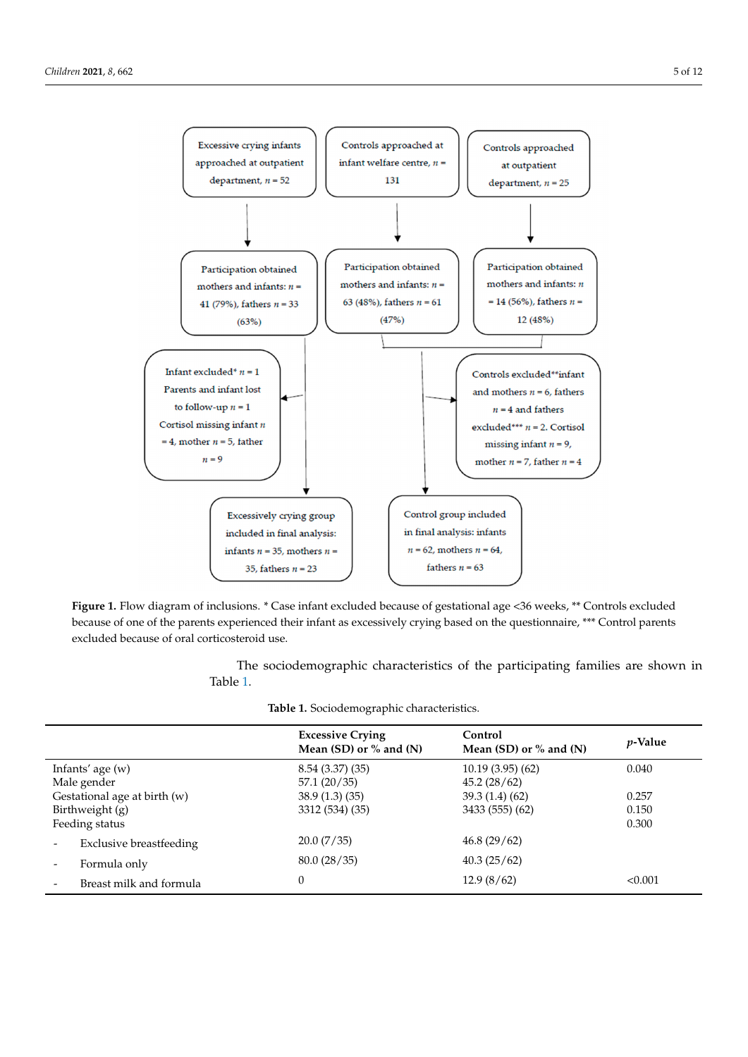<span id="page-4-0"></span>

analysis (Figure 1).

because of one of the parents experienced their infant as excessively crying based on the questionnaire, \*\*\* Control parents excluded because of oral corticosteroid use. **Figure 1.** Flow diagram of inclusions. \* Case infant excluded because of gestational age <36 weeks, \*\* Controls excluded

The sociolet characteristics of the participating families are shown in Table The sociodemographic characteristics of the participating families are shown in Table [1.](#page-5-0)

| Table 1. Sociodemographic characteristics. |  |
|--------------------------------------------|--|
|--------------------------------------------|--|

|                                                                   | <b>Excessive Crying</b><br>Mean (SD) or $%$ and (N) | Control<br>Mean (SD) or $%$ and (N) | <i>p</i> -Value         |
|-------------------------------------------------------------------|-----------------------------------------------------|-------------------------------------|-------------------------|
| Infants' age $(w)$<br>Male gender                                 | 8.54(3.37)(35)<br>57.1(20/35)                       | 10.19(3.95)(62)<br>45.2(28/62)      | 0.040                   |
| Gestational age at birth (w)<br>Birthweight (g)<br>Feeding status | 38.9(1.3)(35)<br>3312 (534) (35)                    | 39.3(1.4)(62)<br>3433 (555) (62)    | 0.257<br>0.150<br>0.300 |
| Exclusive breastfeeding                                           | 20.0(7/35)                                          | 46.8(29/62)                         |                         |
| Formula only                                                      | 80.0(28/35)                                         | 40.3(25/62)                         |                         |
| Breast milk and formula                                           |                                                     | 12.9(8/62)                          | < 0.001                 |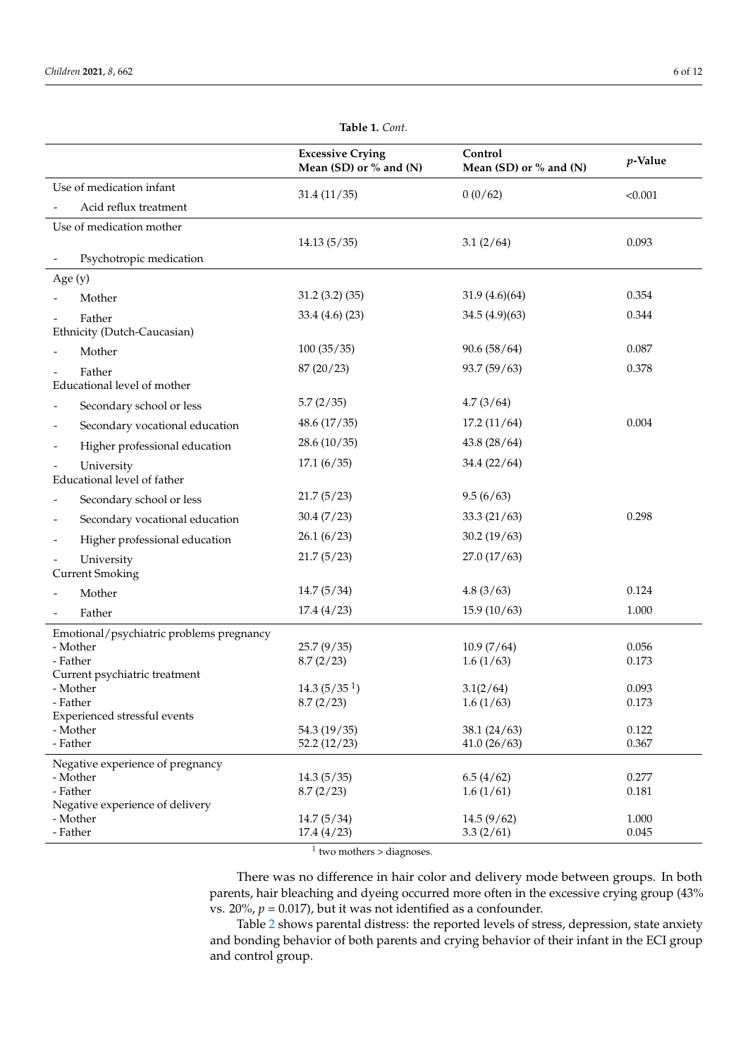<span id="page-5-0"></span>

|                                             | <b>Excessive Crying</b><br>Mean (SD) or % and (N) | Control<br>Mean (SD) or $%$ and (N) | $p$ -Value     |
|---------------------------------------------|---------------------------------------------------|-------------------------------------|----------------|
| Use of medication infant                    | 31.4(11/35)                                       | 0(0/62)                             | < 0.001        |
| Acid reflux treatment                       |                                                   |                                     |                |
| Use of medication mother                    |                                                   |                                     |                |
|                                             | 14.13(5/35)                                       | 3.1(2/64)                           | 0.093          |
| Psychotropic medication                     |                                                   |                                     |                |
| Age (y)                                     |                                                   |                                     |                |
| Mother                                      | 31.2(3.2)(35)                                     | 31.9(4.6)(64)                       | 0.354          |
| Father                                      | 33.4(4.6)(23)                                     | 34.5(4.9)(63)                       | 0.344          |
| Ethnicity (Dutch-Caucasian)                 |                                                   |                                     |                |
| Mother                                      | 100(35/35)                                        | 90.6(58/64)                         | 0.087          |
| Father                                      | 87 (20/23)                                        | 93.7 (59/63)                        | 0.378          |
| Educational level of mother                 |                                                   |                                     |                |
| Secondary school or less                    | 5.7(2/35)                                         | 4.7(3/64)                           |                |
| Secondary vocational education              | 48.6(17/35)                                       | 17.2(11/64)                         | 0.004          |
| Higher professional education               | 28.6(10/35)                                       | 43.8(28/64)                         |                |
| University<br>Educational level of father   | 17.1(6/35)                                        | 34.4 (22/64)                        |                |
| Secondary school or less                    | 21.7(5/23)                                        | 9.5(6/63)                           |                |
| Secondary vocational education              | 30.4(7/23)                                        | 33.3(21/63)                         | 0.298          |
| Higher professional education               | 26.1(6/23)                                        | 30.2(19/63)                         |                |
| University                                  | 21.7(5/23)                                        | 27.0(17/63)                         |                |
| <b>Current Smoking</b>                      |                                                   |                                     |                |
| Mother                                      | 14.7(5/34)                                        | 4.8(3/63)                           | 0.124          |
| Father                                      | 17.4(4/23)                                        | 15.9(10/63)                         | 1.000          |
| Emotional/psychiatric problems pregnancy    |                                                   |                                     |                |
| - Mother                                    | 25.7(9/35)                                        | 10.9(7/64)                          | 0.056          |
| - Father<br>Current psychiatric treatment   | 8.7(2/23)                                         | 1.6(1/63)                           | 0.173          |
| - Mother                                    | 14.3(5/35 <sup>1</sup> )                          | 3.1(2/64)                           | 0.093          |
| - Father                                    | 8.7(2/23)                                         | 1.6(1/63)                           | 0.173          |
| Experienced stressful events                |                                                   |                                     |                |
| - Mother<br>- Father                        | 54.3 (19/35)<br>52.2(12/23)                       | 38.1(24/63)<br>41.0(26/63)          | 0.122<br>0.367 |
| Negative experience of pregnancy            |                                                   |                                     |                |
| - Mother                                    | 14.3(5/35)                                        | 6.5(4/62)                           | 0.277          |
| - Father                                    | 8.7(2/23)                                         | 1.6(1/61)                           | 0.181          |
| Negative experience of delivery<br>- Mother | 14.7(5/34)                                        | 14.5(9/62)                          | 1.000          |
| - Father                                    | 17.4(4/23)                                        | 3.3(2/61)                           | 0.045          |

**Table 1.** *Cont.*

<sup>1</sup> two mothers > diagnoses.

There was no difference in hair color and delivery mode between groups. In both parents, hair bleaching and dyeing occurred more often in the excessive crying group (43% vs.  $20\%$ ,  $p = 0.017$ ), but it was not identified as a confounder.

Table [2](#page-6-0) shows parental distress: the reported levels of stress, depression, state anxiety and bonding behavior of both parents and crying behavior of their infant in the ECI group and control group.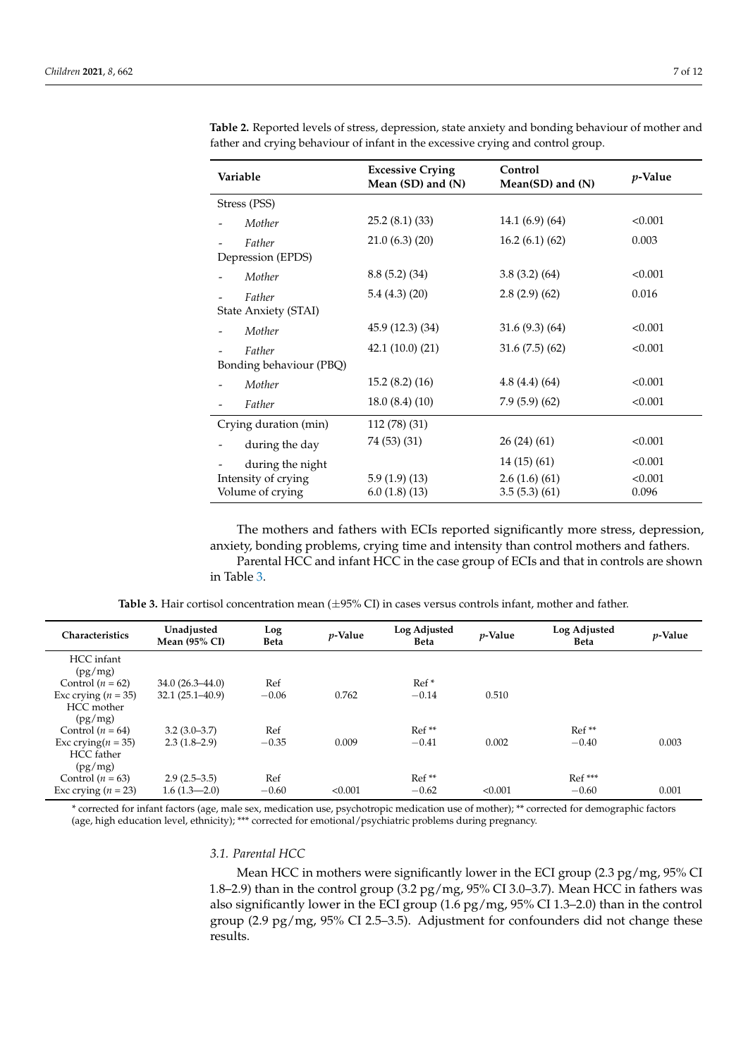(pg/mg)

HCC mother

| Variable                | <b>Excessive Crying</b><br>Mean (SD) and (N) | Control<br>Mean(SD) and (N) | <i>p</i> -Value |
|-------------------------|----------------------------------------------|-----------------------------|-----------------|
| Stress (PSS)            |                                              |                             |                 |
| Mother                  | 25.2(8.1)(33)                                | 14.1(6.9)(64)               | < 0.001         |
| Father                  | 21.0(6.3)(20)                                | 16.2(6.1)(62)               | 0.003           |
| Depression (EPDS)       |                                              |                             |                 |
| Mother                  | 8.8(5.2)(34)                                 | 3.8(3.2)(64)                | < 0.001         |
| Father                  | 5.4(4.3)(20)                                 | 2.8(2.9)(62)                | 0.016           |
| State Anxiety (STAI)    |                                              |                             |                 |
| Mother                  | 45.9 (12.3) (34)                             | 31.6(9.3)(64)               | < 0.001         |
| Father                  | 42.1(10.0)(21)                               | 31.6(7.5)(62)               | < 0.001         |
| Bonding behaviour (PBQ) |                                              |                             |                 |
| Mother                  | 15.2(8.2)(16)                                | 4.8(4.4)(64)                | < 0.001         |
| Father                  | 18.0(8.4)(10)                                | 7.9(5.9)(62)                | < 0.001         |
| Crying duration (min)   | 112 (78) (31)                                |                             |                 |
| during the day          | 74 (53) (31)                                 | 26(24)(61)                  | < 0.001         |
| during the night        |                                              | 14(15)(61)                  | < 0.001         |
| Intensity of crying     | 5.9(1.9)(13)                                 | 2.6(1.6)(61)                | < 0.001         |
| Volume of crying        | 6.0(1.8)(13)                                 | 3.5(5.3)(61)                | 0.096           |

<span id="page-6-0"></span>**Table 2.** Reported levels of stress, depression, state anxiety and bonding behaviour of mother and father and crying behaviour of infant in the excessive crying and control group.

The mothers and fathers with ECIs reported significantly more stress, depression, anxiety, bonding problems, crying time and intensity than control mothers and fathers. Parental HCC and infant HCC in the case group of ECIs and that in controls are shown in Table [3.](#page-6-1)

<span id="page-6-1"></span>

| Characteristics | Unadjusted<br>Mean $(95\%$ CI) | Log<br><b>Beta</b> | $v$ -Value | Log Adjusted<br><b>Beta</b> | $v$ -Value | Log Adjusted<br><b>Beta</b> | <i>v</i> -Value |
|-----------------|--------------------------------|--------------------|------------|-----------------------------|------------|-----------------------------|-----------------|
| HCC infant      |                                |                    |            |                             |            |                             |                 |

| <b>Table 3.</b> Hair cortisol concentration mean $(\pm 95\% \text{ CI})$ in cases versus controls infant, mother and father. |  |
|------------------------------------------------------------------------------------------------------------------------------|--|
|------------------------------------------------------------------------------------------------------------------------------|--|

| (pg/mg)                                                                                                                                    |                |         |         |         |         |          |       |
|--------------------------------------------------------------------------------------------------------------------------------------------|----------------|---------|---------|---------|---------|----------|-------|
| Control $(n = 64)$                                                                                                                         | $3.2(3.0-3.7)$ | Ref     |         | $Ref**$ |         | $Ref**$  |       |
| Exc crying $(n = 35)$                                                                                                                      | $2.3(1.8-2.9)$ | $-0.35$ | 0.009   | $-0.41$ | 0.002   | $-0.40$  | 0.003 |
| HCC father                                                                                                                                 |                |         |         |         |         |          |       |
| (pg/mg)                                                                                                                                    |                |         |         |         |         |          |       |
| Control $(n = 63)$                                                                                                                         | $2.9(2.5-3.5)$ | Ref     |         | $Ref**$ |         | $Ref***$ |       |
| Exc crying $(n = 23)$                                                                                                                      | $1.6(1.3-2.0)$ | $-0.60$ | < 0.001 | $-0.62$ | < 0.001 | $-0.60$  | 0.001 |
| *corrected for infant factors (ago, male sex, medication use, psychotropic medication use of methor); ** corrected for demographic factors |                |         |         |         |         |          |       |

\* corrected for infant factors (age, male sex, medication use, psychotropic medication use of mother); \*\* corrected for demographic factors (age, high education level, ethnicity); \*\*\* corrected for emotional/psychiatric problems during pregnancy.

## *3.1. Parental HCC*

Control ( $n = 62$ ) 34.0 (26.3–44.0) Ref Ref \* Ref \* Ref \* Ref \* 0.762  $-0.14$ 

Exc crying  $(n = 35)$  32.1 (25.1–40.9)  $-0.06$  0.762  $-0.14$  0.510

Mean HCC in mothers were significantly lower in the ECI group  $(2.3 \text{ pg/mg}, 95\% \text{ CI})$ 1.8–2.9) than in the control group (3.2 pg/mg, 95% CI 3.0–3.7). Mean HCC in fathers was also significantly lower in the ECI group  $(1.6 \text{ pg/mg}, 95\% \text{ CI } 1.3-2.0)$  than in the control group (2.9 pg/mg, 95% CI 2.5–3.5). Adjustment for confounders did not change these results.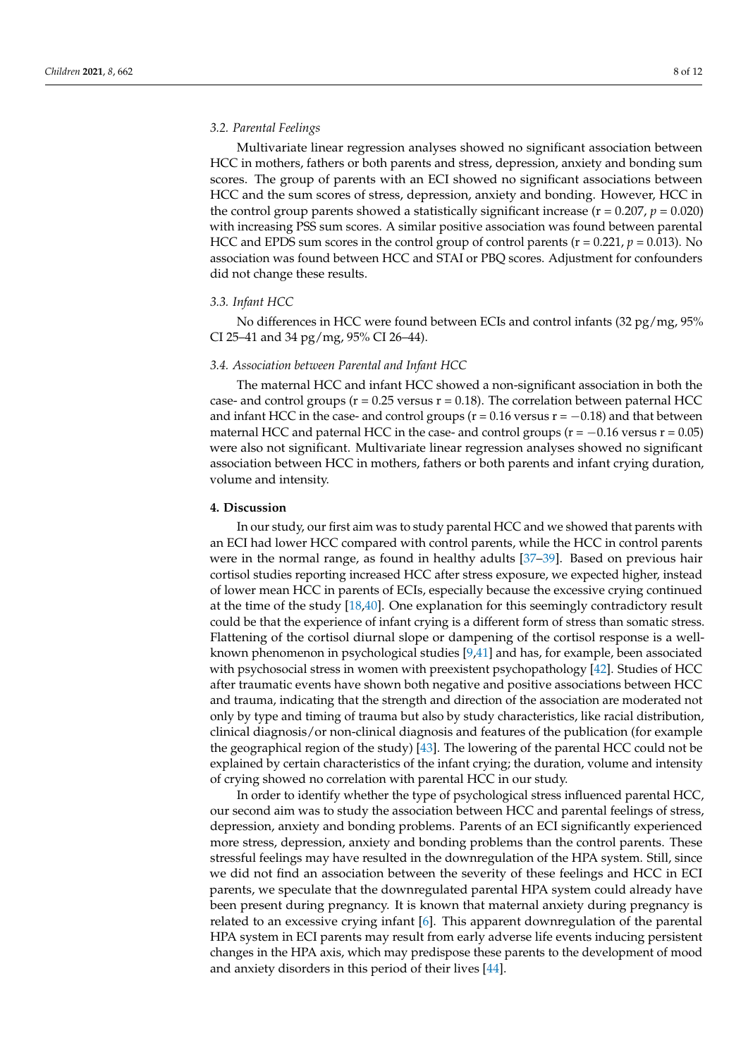## *3.2. Parental Feelings*

Multivariate linear regression analyses showed no significant association between HCC in mothers, fathers or both parents and stress, depression, anxiety and bonding sum scores. The group of parents with an ECI showed no significant associations between HCC and the sum scores of stress, depression, anxiety and bonding. However, HCC in the control group parents showed a statistically significant increase ( $r = 0.207$ ,  $p = 0.020$ ) with increasing PSS sum scores. A similar positive association was found between parental HCC and EPDS sum scores in the control group of control parents ( $r = 0.221$ ,  $p = 0.013$ ). No association was found between HCC and STAI or PBQ scores. Adjustment for confounders did not change these results.

## *3.3. Infant HCC*

No differences in HCC were found between ECIs and control infants (32 pg/mg, 95% CI 25–41 and 34 pg/mg, 95% CI 26–44).

## *3.4. Association between Parental and Infant HCC*

The maternal HCC and infant HCC showed a non-significant association in both the case- and control groups ( $r = 0.25$  versus  $r = 0.18$ ). The correlation between paternal HCC and infant HCC in the case- and control groups ( $r = 0.16$  versus  $r = -0.18$ ) and that between maternal HCC and paternal HCC in the case- and control groups ( $r = -0.16$  versus  $r = 0.05$ ) were also not significant. Multivariate linear regression analyses showed no significant association between HCC in mothers, fathers or both parents and infant crying duration, volume and intensity.

#### **4. Discussion**

In our study, our first aim was to study parental HCC and we showed that parents with an ECI had lower HCC compared with control parents, while the HCC in control parents were in the normal range, as found in healthy adults [\[37](#page-11-2)[–39\]](#page-11-3). Based on previous hair cortisol studies reporting increased HCC after stress exposure, we expected higher, instead of lower mean HCC in parents of ECIs, especially because the excessive crying continued at the time of the study [\[18](#page-10-10)[,40\]](#page-11-4). One explanation for this seemingly contradictory result could be that the experience of infant crying is a different form of stress than somatic stress. Flattening of the cortisol diurnal slope or dampening of the cortisol response is a wellknown phenomenon in psychological studies [\[9,](#page-10-1)[41\]](#page-11-5) and has, for example, been associated with psychosocial stress in women with preexistent psychopathology [\[42\]](#page-11-6). Studies of HCC after traumatic events have shown both negative and positive associations between HCC and trauma, indicating that the strength and direction of the association are moderated not only by type and timing of trauma but also by study characteristics, like racial distribution, clinical diagnosis/or non-clinical diagnosis and features of the publication (for example the geographical region of the study) [\[43\]](#page-11-7). The lowering of the parental HCC could not be explained by certain characteristics of the infant crying; the duration, volume and intensity of crying showed no correlation with parental HCC in our study.

In order to identify whether the type of psychological stress influenced parental HCC, our second aim was to study the association between HCC and parental feelings of stress, depression, anxiety and bonding problems. Parents of an ECI significantly experienced more stress, depression, anxiety and bonding problems than the control parents. These stressful feelings may have resulted in the downregulation of the HPA system. Still, since we did not find an association between the severity of these feelings and HCC in ECI parents, we speculate that the downregulated parental HPA system could already have been present during pregnancy. It is known that maternal anxiety during pregnancy is related to an excessive crying infant [\[6\]](#page-9-4). This apparent downregulation of the parental HPA system in ECI parents may result from early adverse life events inducing persistent changes in the HPA axis, which may predispose these parents to the development of mood and anxiety disorders in this period of their lives [\[44\]](#page-11-8).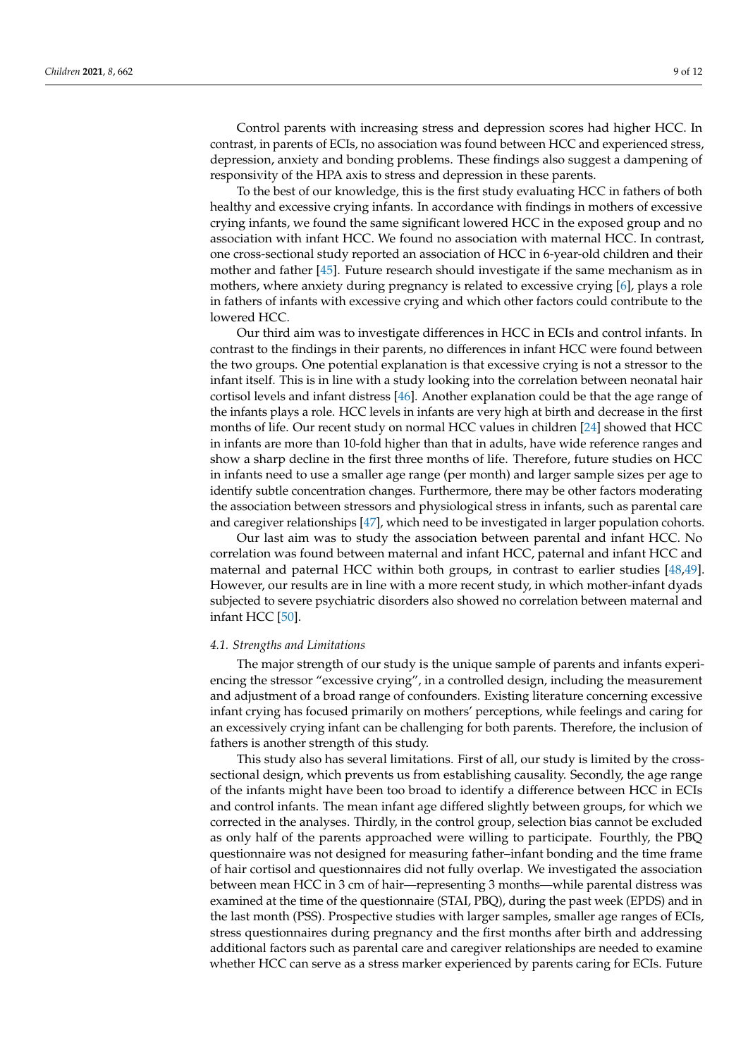Control parents with increasing stress and depression scores had higher HCC. In contrast, in parents of ECIs, no association was found between HCC and experienced stress, depression, anxiety and bonding problems. These findings also suggest a dampening of

responsivity of the HPA axis to stress and depression in these parents. To the best of our knowledge, this is the first study evaluating HCC in fathers of both healthy and excessive crying infants. In accordance with findings in mothers of excessive crying infants, we found the same significant lowered HCC in the exposed group and no association with infant HCC. We found no association with maternal HCC. In contrast, one cross-sectional study reported an association of HCC in 6-year-old children and their mother and father [\[45\]](#page-11-9). Future research should investigate if the same mechanism as in mothers, where anxiety during pregnancy is related to excessive crying [\[6\]](#page-9-4), plays a role in fathers of infants with excessive crying and which other factors could contribute to the lowered HCC.

Our third aim was to investigate differences in HCC in ECIs and control infants. In contrast to the findings in their parents, no differences in infant HCC were found between the two groups. One potential explanation is that excessive crying is not a stressor to the infant itself. This is in line with a study looking into the correlation between neonatal hair cortisol levels and infant distress [\[46\]](#page-11-10). Another explanation could be that the age range of the infants plays a role. HCC levels in infants are very high at birth and decrease in the first months of life. Our recent study on normal HCC values in children [\[24\]](#page-10-16) showed that HCC in infants are more than 10-fold higher than that in adults, have wide reference ranges and show a sharp decline in the first three months of life. Therefore, future studies on HCC in infants need to use a smaller age range (per month) and larger sample sizes per age to identify subtle concentration changes. Furthermore, there may be other factors moderating the association between stressors and physiological stress in infants, such as parental care and caregiver relationships [\[47\]](#page-11-11), which need to be investigated in larger population cohorts.

Our last aim was to study the association between parental and infant HCC. No correlation was found between maternal and infant HCC, paternal and infant HCC and maternal and paternal HCC within both groups, in contrast to earlier studies [\[48,](#page-11-12)[49\]](#page-11-13). However, our results are in line with a more recent study, in which mother-infant dyads subjected to severe psychiatric disorders also showed no correlation between maternal and infant HCC [\[50\]](#page-11-14).

#### *4.1. Strengths and Limitations*

The major strength of our study is the unique sample of parents and infants experiencing the stressor "excessive crying", in a controlled design, including the measurement and adjustment of a broad range of confounders. Existing literature concerning excessive infant crying has focused primarily on mothers' perceptions, while feelings and caring for an excessively crying infant can be challenging for both parents. Therefore, the inclusion of fathers is another strength of this study.

This study also has several limitations. First of all, our study is limited by the crosssectional design, which prevents us from establishing causality. Secondly, the age range of the infants might have been too broad to identify a difference between HCC in ECIs and control infants. The mean infant age differed slightly between groups, for which we corrected in the analyses. Thirdly, in the control group, selection bias cannot be excluded as only half of the parents approached were willing to participate. Fourthly, the PBQ questionnaire was not designed for measuring father–infant bonding and the time frame of hair cortisol and questionnaires did not fully overlap. We investigated the association between mean HCC in 3 cm of hair—representing 3 months—while parental distress was examined at the time of the questionnaire (STAI, PBQ), during the past week (EPDS) and in the last month (PSS). Prospective studies with larger samples, smaller age ranges of ECIs, stress questionnaires during pregnancy and the first months after birth and addressing additional factors such as parental care and caregiver relationships are needed to examine whether HCC can serve as a stress marker experienced by parents caring for ECIs. Future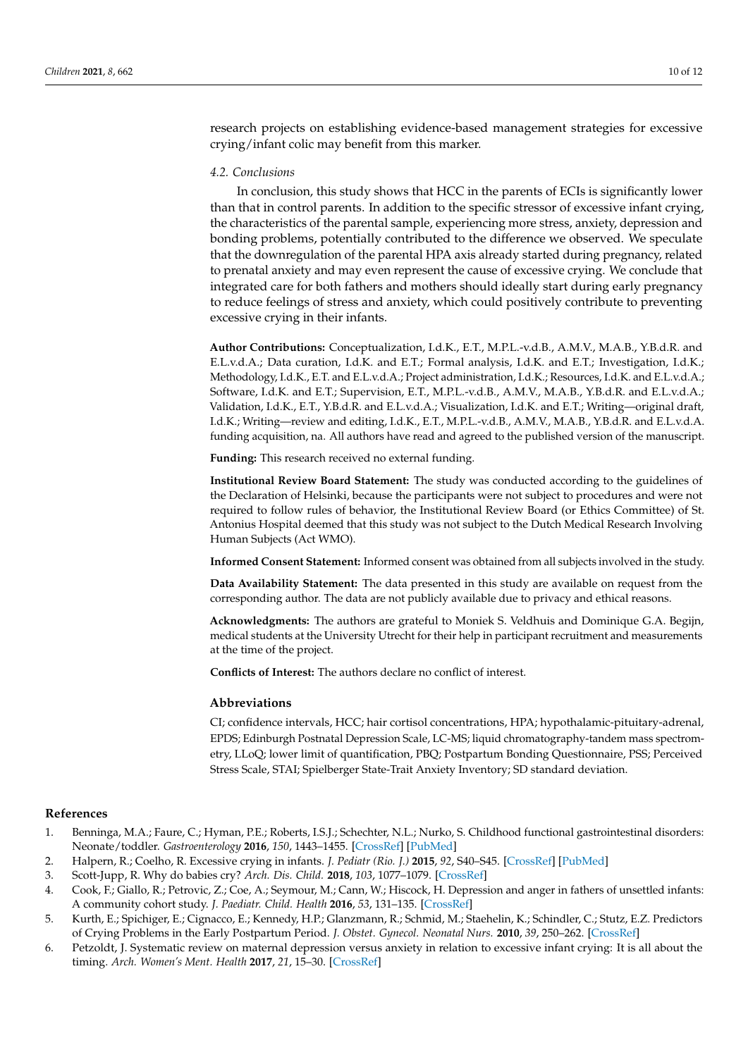research projects on establishing evidence-based management strategies for excessive crying/infant colic may benefit from this marker.

## *4.2. Conclusions*

In conclusion, this study shows that HCC in the parents of ECIs is significantly lower than that in control parents. In addition to the specific stressor of excessive infant crying, the characteristics of the parental sample, experiencing more stress, anxiety, depression and bonding problems, potentially contributed to the difference we observed. We speculate that the downregulation of the parental HPA axis already started during pregnancy, related to prenatal anxiety and may even represent the cause of excessive crying. We conclude that integrated care for both fathers and mothers should ideally start during early pregnancy to reduce feelings of stress and anxiety, which could positively contribute to preventing excessive crying in their infants.

**Author Contributions:** Conceptualization, I.d.K., E.T., M.P.L.-v.d.B., A.M.V., M.A.B., Y.B.d.R. and E.L.v.d.A.; Data curation, I.d.K. and E.T.; Formal analysis, I.d.K. and E.T.; Investigation, I.d.K.; Methodology, I.d.K., E.T. and E.L.v.d.A.; Project administration, I.d.K.; Resources, I.d.K. and E.L.v.d.A.; Software, I.d.K. and E.T.; Supervision, E.T., M.P.L.-v.d.B., A.M.V., M.A.B., Y.B.d.R. and E.L.v.d.A.; Validation, I.d.K., E.T., Y.B.d.R. and E.L.v.d.A.; Visualization, I.d.K. and E.T.; Writing—original draft, I.d.K.; Writing—review and editing, I.d.K., E.T., M.P.L.-v.d.B., A.M.V., M.A.B., Y.B.d.R. and E.L.v.d.A. funding acquisition, na. All authors have read and agreed to the published version of the manuscript.

**Funding:** This research received no external funding.

**Institutional Review Board Statement:** The study was conducted according to the guidelines of the Declaration of Helsinki, because the participants were not subject to procedures and were not required to follow rules of behavior, the Institutional Review Board (or Ethics Committee) of St. Antonius Hospital deemed that this study was not subject to the Dutch Medical Research Involving Human Subjects (Act WMO).

**Informed Consent Statement:** Informed consent was obtained from all subjects involved in the study.

**Data Availability Statement:** The data presented in this study are available on request from the corresponding author. The data are not publicly available due to privacy and ethical reasons.

**Acknowledgments:** The authors are grateful to Moniek S. Veldhuis and Dominique G.A. Begijn, medical students at the University Utrecht for their help in participant recruitment and measurements at the time of the project.

**Conflicts of Interest:** The authors declare no conflict of interest.

#### **Abbreviations**

CI; confidence intervals, HCC; hair cortisol concentrations, HPA; hypothalamic-pituitary-adrenal, EPDS; Edinburgh Postnatal Depression Scale, LC-MS; liquid chromatography-tandem mass spectrometry, LLoQ; lower limit of quantification, PBQ; Postpartum Bonding Questionnaire, PSS; Perceived Stress Scale, STAI; Spielberger State-Trait Anxiety Inventory; SD standard deviation.

#### **References**

- <span id="page-9-0"></span>1. Benninga, M.A.; Faure, C.; Hyman, P.E.; Roberts, I.S.J.; Schechter, N.L.; Nurko, S. Childhood functional gastrointestinal disorders: Neonate/toddler. *Gastroenterology* **2016**, *150*, 1443–1455. [\[CrossRef\]](http://doi.org/10.1053/j.gastro.2016.02.016) [\[PubMed\]](http://www.ncbi.nlm.nih.gov/pubmed/27144631)
- <span id="page-9-1"></span>2. Halpern, R.; Coelho, R. Excessive crying in infants. *J. Pediatr (Rio. J.)* **2015**, *92*, S40–S45. [\[CrossRef\]](http://doi.org/10.1016/j.jped.2016.01.004) [\[PubMed\]](http://www.ncbi.nlm.nih.gov/pubmed/26994450)
- <span id="page-9-2"></span>3. Scott-Jupp, R. Why do babies cry? *Arch. Dis. Child.* **2018**, *103*, 1077–1079. [\[CrossRef\]](http://doi.org/10.1136/archdischild-2017-313597)
- <span id="page-9-3"></span>4. Cook, F.; Giallo, R.; Petrovic, Z.; Coe, A.; Seymour, M.; Cann, W.; Hiscock, H. Depression and anger in fathers of unsettled infants: A community cohort study. *J. Paediatr. Child. Health* **2016**, *53*, 131–135. [\[CrossRef\]](http://doi.org/10.1111/jpc.13311)
- 5. Kurth, E.; Spichiger, E.; Cignacco, E.; Kennedy, H.P.; Glanzmann, R.; Schmid, M.; Staehelin, K.; Schindler, C.; Stutz, E.Z. Predictors of Crying Problems in the Early Postpartum Period. *J. Obstet. Gynecol. Neonatal Nurs.* **2010**, *39*, 250–262. [\[CrossRef\]](http://doi.org/10.1111/j.1552-6909.2010.01141.x)
- <span id="page-9-4"></span>6. Petzoldt, J. Systematic review on maternal depression versus anxiety in relation to excessive infant crying: It is all about the timing. *Arch. Women's Ment. Health* **2017**, *21*, 15–30. [\[CrossRef\]](http://doi.org/10.1007/s00737-017-0771-4)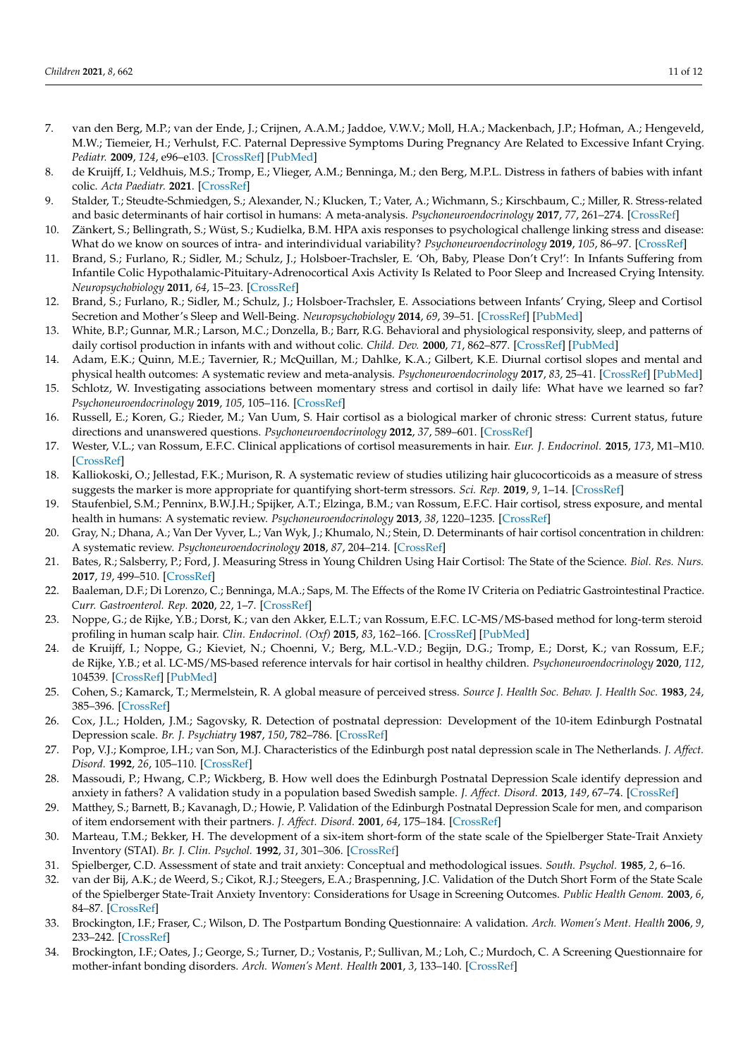- 7. van den Berg, M.P.; van der Ende, J.; Crijnen, A.A.M.; Jaddoe, V.W.V.; Moll, H.A.; Mackenbach, J.P.; Hofman, A.; Hengeveld, M.W.; Tiemeier, H.; Verhulst, F.C. Paternal Depressive Symptoms During Pregnancy Are Related to Excessive Infant Crying. *Pediatr.* **2009**, *124*, e96–e103. [\[CrossRef\]](http://doi.org/10.1542/peds.2008-3100) [\[PubMed\]](http://www.ncbi.nlm.nih.gov/pubmed/19564275)
- <span id="page-10-0"></span>8. de Kruijff, I.; Veldhuis, M.S.; Tromp, E.; Vlieger, A.M.; Benninga, M.; den Berg, M.P.L. Distress in fathers of babies with infant colic. *Acta Paediatr.* **2021**. [\[CrossRef\]](http://doi.org/10.1111/apa.15873)
- <span id="page-10-1"></span>9. Stalder, T.; Steudte-Schmiedgen, S.; Alexander, N.; Klucken, T.; Vater, A.; Wichmann, S.; Kirschbaum, C.; Miller, R. Stress-related and basic determinants of hair cortisol in humans: A meta-analysis. *Psychoneuroendocrinology* **2017**, *77*, 261–274. [\[CrossRef\]](http://doi.org/10.1016/j.psyneuen.2016.12.017)
- <span id="page-10-2"></span>10. Zänkert, S.; Bellingrath, S.; Wüst, S.; Kudielka, B.M. HPA axis responses to psychological challenge linking stress and disease: What do we know on sources of intra- and interindividual variability? *Psychoneuroendocrinology* **2019**, *105*, 86–97. [\[CrossRef\]](http://doi.org/10.1016/j.psyneuen.2018.10.027)
- <span id="page-10-3"></span>11. Brand, S.; Furlano, R.; Sidler, M.; Schulz, J.; Holsboer-Trachsler, E. 'Oh, Baby, Please Don't Cry!': In Infants Suffering from Infantile Colic Hypothalamic-Pituitary-Adrenocortical Axis Activity Is Related to Poor Sleep and Increased Crying Intensity. *Neuropsychobiology* **2011**, *64*, 15–23. [\[CrossRef\]](http://doi.org/10.1159/000322456)
- <span id="page-10-4"></span>12. Brand, S.; Furlano, R.; Sidler, M.; Schulz, J.; Holsboer-Trachsler, E. Associations between Infants' Crying, Sleep and Cortisol Secretion and Mother's Sleep and Well-Being. *Neuropsychobiology* **2014**, *69*, 39–51. [\[CrossRef\]](http://doi.org/10.1159/000356968) [\[PubMed\]](http://www.ncbi.nlm.nih.gov/pubmed/24457194)
- <span id="page-10-5"></span>13. White, B.P.; Gunnar, M.R.; Larson, M.C.; Donzella, B.; Barr, R.G. Behavioral and physiological responsivity, sleep, and patterns of daily cortisol production in infants with and without colic. *Child. Dev.* **2000**, *71*, 862–877. [\[CrossRef\]](http://doi.org/10.1111/1467-8624.00196) [\[PubMed\]](http://www.ncbi.nlm.nih.gov/pubmed/11016553)
- <span id="page-10-6"></span>14. Adam, E.K.; Quinn, M.E.; Tavernier, R.; McQuillan, M.; Dahlke, K.A.; Gilbert, K.E. Diurnal cortisol slopes and mental and physical health outcomes: A systematic review and meta-analysis. *Psychoneuroendocrinology* **2017**, *83*, 25–41. [\[CrossRef\]](http://doi.org/10.1016/j.psyneuen.2017.05.018) [\[PubMed\]](http://www.ncbi.nlm.nih.gov/pubmed/28578301)
- <span id="page-10-7"></span>15. Schlotz, W. Investigating associations between momentary stress and cortisol in daily life: What have we learned so far? *Psychoneuroendocrinology* **2019**, *105*, 105–116. [\[CrossRef\]](http://doi.org/10.1016/j.psyneuen.2018.11.038)
- <span id="page-10-8"></span>16. Russell, E.; Koren, G.; Rieder, M.; Van Uum, S. Hair cortisol as a biological marker of chronic stress: Current status, future directions and unanswered questions. *Psychoneuroendocrinology* **2012**, *37*, 589–601. [\[CrossRef\]](http://doi.org/10.1016/j.psyneuen.2011.09.009)
- <span id="page-10-9"></span>17. Wester, V.L.; van Rossum, E.F.C. Clinical applications of cortisol measurements in hair. *Eur. J. Endocrinol.* **2015**, *173*, M1–M10. [\[CrossRef\]](http://doi.org/10.1530/EJE-15-0313)
- <span id="page-10-10"></span>18. Kalliokoski, O.; Jellestad, F.K.; Murison, R. A systematic review of studies utilizing hair glucocorticoids as a measure of stress suggests the marker is more appropriate for quantifying short-term stressors. *Sci. Rep.* **2019**, *9*, 1–14. [\[CrossRef\]](http://doi.org/10.1038/s41598-019-48517-2)
- <span id="page-10-11"></span>19. Staufenbiel, S.M.; Penninx, B.W.J.H.; Spijker, A.T.; Elzinga, B.M.; van Rossum, E.F.C. Hair cortisol, stress exposure, and mental health in humans: A systematic review. *Psychoneuroendocrinology* **2013**, *38*, 1220–1235. [\[CrossRef\]](http://doi.org/10.1016/j.psyneuen.2012.11.015)
- <span id="page-10-12"></span>20. Gray, N.; Dhana, A.; Van Der Vyver, L.; Van Wyk, J.; Khumalo, N.; Stein, D. Determinants of hair cortisol concentration in children: A systematic review. *Psychoneuroendocrinology* **2018**, *87*, 204–214. [\[CrossRef\]](http://doi.org/10.1016/j.psyneuen.2017.10.022)
- <span id="page-10-13"></span>21. Bates, R.; Salsberry, P.; Ford, J. Measuring Stress in Young Children Using Hair Cortisol: The State of the Science. *Biol. Res. Nurs.* **2017**, *19*, 499–510. [\[CrossRef\]](http://doi.org/10.1177/1099800417711583)
- <span id="page-10-14"></span>22. Baaleman, D.F.; Di Lorenzo, C.; Benninga, M.A.; Saps, M. The Effects of the Rome IV Criteria on Pediatric Gastrointestinal Practice. *Curr. Gastroenterol. Rep.* **2020**, *22*, 1–7. [\[CrossRef\]](http://doi.org/10.1007/s11894-020-00760-8)
- <span id="page-10-15"></span>23. Noppe, G.; de Rijke, Y.B.; Dorst, K.; van den Akker, E.L.T.; van Rossum, E.F.C. LC-MS/MS-based method for long-term steroid profiling in human scalp hair. *Clin. Endocrinol. (Oxf)* **2015**, *83*, 162–166. [\[CrossRef\]](http://doi.org/10.1111/cen.12781) [\[PubMed\]](http://www.ncbi.nlm.nih.gov/pubmed/25823708)
- <span id="page-10-16"></span>24. de Kruijff, I.; Noppe, G.; Kieviet, N.; Choenni, V.; Berg, M.L.-V.D.; Begijn, D.G.; Tromp, E.; Dorst, K.; van Rossum, E.F.; de Rijke, Y.B.; et al. LC-MS/MS-based reference intervals for hair cortisol in healthy children. *Psychoneuroendocrinology* **2020**, *112*, 104539. [\[CrossRef\]](http://doi.org/10.1016/j.psyneuen.2019.104539) [\[PubMed\]](http://www.ncbi.nlm.nih.gov/pubmed/31841987)
- <span id="page-10-17"></span>25. Cohen, S.; Kamarck, T.; Mermelstein, R. A global measure of perceived stress. *Source J. Health Soc. Behav. J. Health Soc.* **1983**, *24*, 385–396. [\[CrossRef\]](http://doi.org/10.2307/2136404)
- <span id="page-10-18"></span>26. Cox, J.L.; Holden, J.M.; Sagovsky, R. Detection of postnatal depression: Development of the 10-item Edinburgh Postnatal Depression scale. *Br. J. Psychiatry* **1987**, *150*, 782–786. [\[CrossRef\]](http://doi.org/10.1192/bjp.150.6.782)
- <span id="page-10-19"></span>27. Pop, V.J.; Komproe, I.H.; van Son, M.J. Characteristics of the Edinburgh post natal depression scale in The Netherlands. *J. Affect. Disord.* **1992**, *26*, 105–110. [\[CrossRef\]](http://doi.org/10.1016/0165-0327(92)90041-4)
- <span id="page-10-20"></span>28. Massoudi, P.; Hwang, C.P.; Wickberg, B. How well does the Edinburgh Postnatal Depression Scale identify depression and anxiety in fathers? A validation study in a population based Swedish sample. *J. Affect. Disord.* **2013**, *149*, 67–74. [\[CrossRef\]](http://doi.org/10.1016/j.jad.2013.01.005)
- <span id="page-10-21"></span>29. Matthey, S.; Barnett, B.; Kavanagh, D.; Howie, P. Validation of the Edinburgh Postnatal Depression Scale for men, and comparison of item endorsement with their partners. *J. Affect. Disord.* **2001**, *64*, 175–184. [\[CrossRef\]](http://doi.org/10.1016/S0165-0327(00)00236-6)
- <span id="page-10-22"></span>30. Marteau, T.M.; Bekker, H. The development of a six-item short-form of the state scale of the Spielberger State-Trait Anxiety Inventory (STAI). *Br. J. Clin. Psychol.* **1992**, *31*, 301–306. [\[CrossRef\]](http://doi.org/10.1111/j.2044-8260.1992.tb00997.x)
- 31. Spielberger, C.D. Assessment of state and trait anxiety: Conceptual and methodological issues. *South. Psychol.* **1985**, *2*, 6–16.
- <span id="page-10-23"></span>32. van der Bij, A.K.; de Weerd, S.; Cikot, R.J.; Steegers, E.A.; Braspenning, J.C. Validation of the Dutch Short Form of the State Scale of the Spielberger State-Trait Anxiety Inventory: Considerations for Usage in Screening Outcomes. *Public Health Genom.* **2003**, *6*, 84–87. [\[CrossRef\]](http://doi.org/10.1159/000073003)
- <span id="page-10-24"></span>33. Brockington, I.F.; Fraser, C.; Wilson, D. The Postpartum Bonding Questionnaire: A validation. *Arch. Women's Ment. Health* **2006**, *9*, 233–242. [\[CrossRef\]](http://doi.org/10.1007/s00737-006-0132-1)
- 34. Brockington, I.F.; Oates, J.; George, S.; Turner, D.; Vostanis, P.; Sullivan, M.; Loh, C.; Murdoch, C. A Screening Questionnaire for mother-infant bonding disorders. *Arch. Women's Ment. Health* **2001**, *3*, 133–140. [\[CrossRef\]](http://doi.org/10.1007/s007370170010)